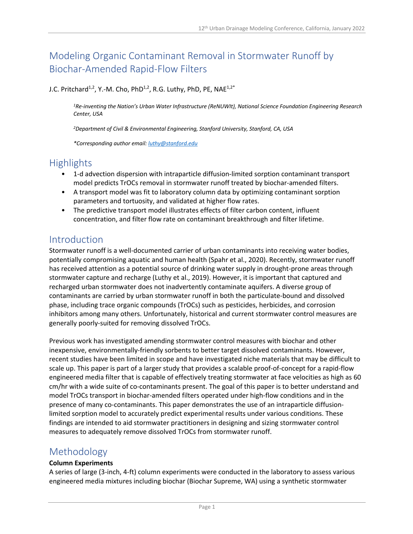# Modeling Organic Contaminant Removal in Stormwater Runoff by Biochar-Amended Rapid-Flow Filters

### J.C. Pritchard<sup>1,2</sup>, Y.-M. Cho, PhD<sup>1,2</sup>, R.G. Luthy, PhD, PE, NAE<sup>1,2\*</sup>

*1Re-inventing the Nation's Urban Water Infrastructure (ReNUWIt), National Science Foundation Engineering Research Center, USA*

*2Department of Civil & Environmental Engineering, Stanford University, Stanford, CA, USA*

*\*Corresponding author email: luthy@stanford.edu*

## **Highlights**

- 1-d advection dispersion with intraparticle diffusion-limited sorption contaminant transport model predicts TrOCs removal in stormwater runoff treated by biochar-amended filters.
- A transport model was fit to laboratory column data by optimizing contaminant sorption parameters and tortuosity, and validated at higher flow rates.
- The predictive transport model illustrates effects of filter carbon content, influent concentration, and filter flow rate on contaminant breakthrough and filter lifetime.

### Introduction

Stormwater runoff is a well-documented carrier of urban contaminants into receiving water bodies, potentially compromising aquatic and human health (Spahr et al., 2020). Recently, stormwater runoff has received attention as a potential source of drinking water supply in drought-prone areas through stormwater capture and recharge (Luthy et al., 2019). However, it is important that captured and recharged urban stormwater does not inadvertently contaminate aquifers. A diverse group of contaminants are carried by urban stormwater runoff in both the particulate-bound and dissolved phase, including trace organic compounds (TrOCs) such as pesticides, herbicides, and corrosion inhibitors among many others. Unfortunately, historical and current stormwater control measures are generally poorly-suited for removing dissolved TrOCs.

Previous work has investigated amending stormwater control measures with biochar and other inexpensive, environmentally-friendly sorbents to better target dissolved contaminants. However, recent studies have been limited in scope and have investigated niche materials that may be difficult to scale up. This paper is part of a larger study that provides a scalable proof-of-concept for a rapid-flow engineered media filter that is capable of effectively treating stormwater at face velocities as high as 60 cm/hr with a wide suite of co-contaminants present. The goal of this paper is to better understand and model TrOCs transport in biochar-amended filters operated under high-flow conditions and in the presence of many co-contaminants. This paper demonstrates the use of an intraparticle diffusionlimited sorption model to accurately predict experimental results under various conditions. These findings are intended to aid stormwater practitioners in designing and sizing stormwater control measures to adequately remove dissolved TrOCs from stormwater runoff.

### Methodology

#### **Column Experiments**

A series of large (3-inch, 4-ft) column experiments were conducted in the laboratory to assess various engineered media mixtures including biochar (Biochar Supreme, WA) using a synthetic stormwater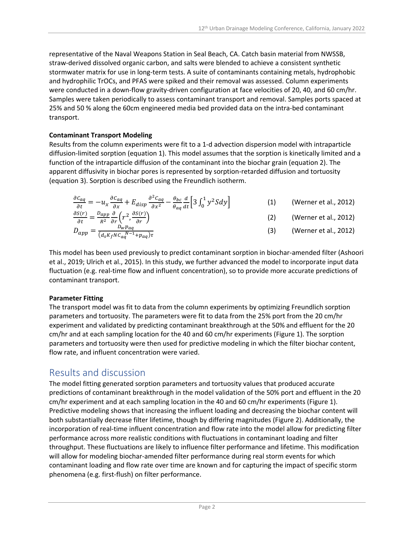representative of the Naval Weapons Station in Seal Beach, CA. Catch basin material from NWSSB, straw-derived dissolved organic carbon, and salts were blended to achieve a consistent synthetic stormwater matrix for use in long-term tests. A suite of contaminants containing metals, hydrophobic and hydrophilic TrOCs, and PFAS were spiked and their removal was assessed. Column experiments were conducted in a down-flow gravity-driven configuration at face velocities of 20, 40, and 60 cm/hr. Samples were taken periodically to assess contaminant transport and removal. Samples ports spaced at 25% and 50 % along the 60cm engineered media bed provided data on the intra-bed contaminant transport.

#### **Contaminant Transport Modeling**

Results from the column experiments were fit to a 1-d advection dispersion model with intraparticle diffusion-limited sorption (equation 1). This model assumes that the sorption is kinetically limited and a function of the intraparticle diffusion of the contaminant into the biochar grain (equation 2). The apparent diffusivity in biochar pores is represented by sorption-retarded diffusion and tortuosity (equation 3). Sorption is described using the Freundlich isotherm.

$$
\frac{\partial c_{aq}}{\partial t} = -u_x \frac{\partial c_{aq}}{\partial x} + E_{disp} \frac{\partial^2 c_{aq}}{\partial x^2} - \frac{\theta_{bc}}{\theta_{aq}} \frac{d}{dt} \left[ 3 \int_0^1 y^2 S dy \right]
$$
 (1) (Werner et al., 2012)  
\n
$$
\frac{\partial S(r)}{\partial s} - D_{app} \frac{\partial}{\partial t} \left( x^2 \frac{\partial S(r)}{\partial x} \right)
$$
 (2) (Werner et al., 2012)

$$
\frac{\partial S(r)}{\partial t} = \frac{D_{app}}{R^2} \frac{\partial}{\partial r} \left( r^2, \frac{\partial S(r)}{\partial r} \right)
$$
\n
$$
D_{app} = \frac{D_{wp} p_{aq}}{(d_S K_f N C_{aq} N^{-1} + p_{aq}) \tau}
$$
\n(3) (Werner et al., 2012)

This model has been used previously to predict contaminant sorption in biochar-amended filter (Ashoori et al., 2019; Ulrich et al., 2015). In this study, we further advanced the model to incorporate input data fluctuation (e.g. real-time flow and influent concentration), so to provide more accurate predictions of contaminant transport.

#### **Parameter Fitting**

The transport model was fit to data from the column experiments by optimizing Freundlich sorption parameters and tortuosity. The parameters were fit to data from the 25% port from the 20 cm/hr experiment and validated by predicting contaminant breakthrough at the 50% and effluent for the 20 cm/hr and at each sampling location for the 40 and 60 cm/hr experiments (Figure 1). The sorption parameters and tortuosity were then used for predictive modeling in which the filter biochar content, flow rate, and influent concentration were varied.

### Results and discussion

The model fitting generated sorption parameters and tortuosity values that produced accurate predictions of contaminant breakthrough in the model validation of the 50% port and effluent in the 20 cm/hr experiment and at each sampling location in the 40 and 60 cm/hr experiments (Figure 1). Predictive modeling shows that increasing the influent loading and decreasing the biochar content will both substantially decrease filter lifetime, though by differing magnitudes (Figure 2). Additionally, the incorporation of real-time influent concentration and flow rate into the model allow for predicting filter performance across more realistic conditions with fluctuations in contaminant loading and filter throughput. These fluctuations are likely to influence filter performance and lifetime. This modification will allow for modeling biochar-amended filter performance during real storm events for which contaminant loading and flow rate over time are known and for capturing the impact of specific storm phenomena (e.g. first-flush) on filter performance.